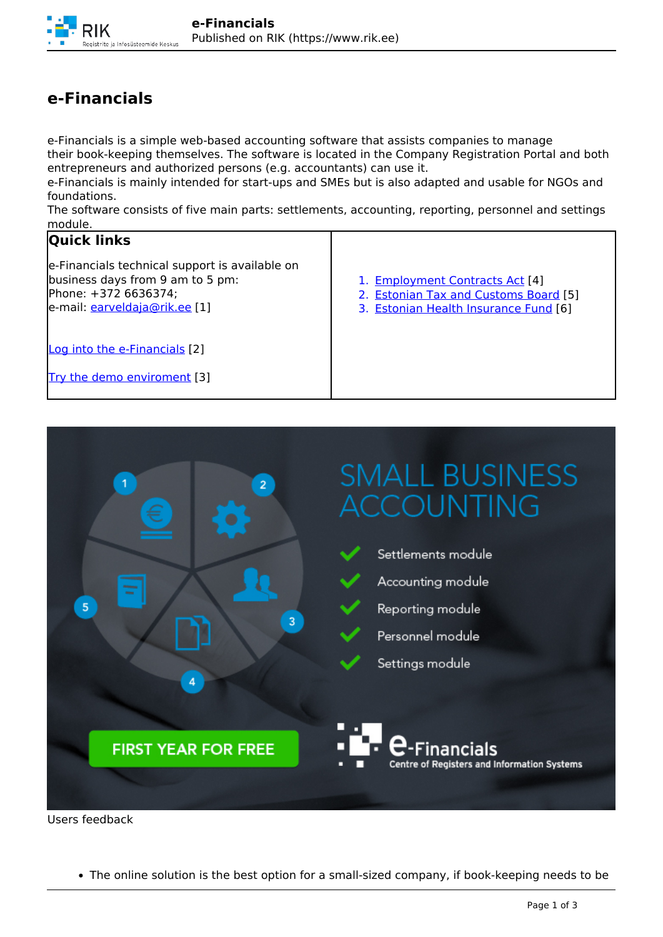## **e-Financials**

e-Financials is a simple web-based accounting software that assists companies to manage their book-keeping themselves. The software is located in the Company Registration Portal and both entrepreneurs and authorized persons (e.g. accountants) can use it.

e-Financials is mainly intended for start-ups and SMEs but is also adapted and usable for NGOs and foundations.

The software consists of five main parts: settlements, accounting, reporting, personnel and settings module.

## **Quick links**

e-Financials technical support is available on business days from 9 am to 5 pm: Phone: +372 6636374; e-mail: [earveldaja@rik.ee](mailto:earveldaja@rik.ee) [1]

- 1. Employment Contracts Act [4]
- 2. Estonian Tax and Customs Board [5]
- 3. Estonian Health Insurance Fund [6]

Log into the e-Financials [2]

Try the demo enviroment [3]



Users feedback

The online solution is the best option for a small-sized company, if book-keeping needs to be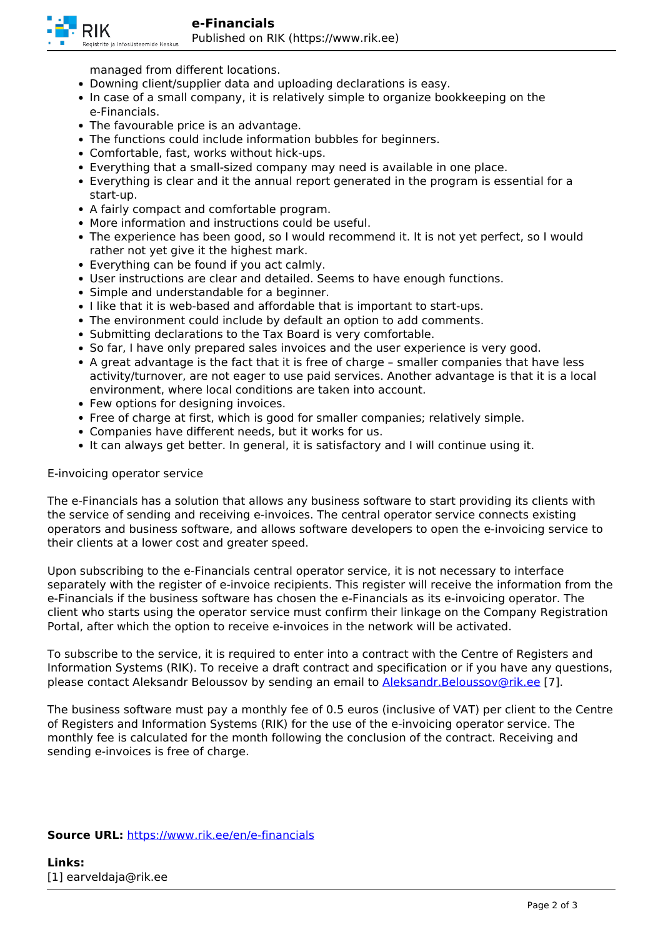

managed from different locations.

- Downing client/supplier data and uploading declarations is easy.
- In case of a small company, it is relatively simple to organize bookkeeping on the e-Financials.
- The favourable price is an advantage.
- The functions could include information bubbles for beginners.
- Comfortable, fast, works without hick-ups.
- Everything that a small-sized company may need is available in one place.
- Everything is clear and it the annual report generated in the program is essential for a start-up.
- A fairly compact and comfortable program.
- More information and instructions could be useful.
- The experience has been good, so I would recommend it. It is not yet perfect, so I would rather not yet give it the highest mark.
- Everything can be found if you act calmly.
- User instructions are clear and detailed. Seems to have enough functions.
- Simple and understandable for a beginner.
- I like that it is web-based and affordable that is important to start-ups.
- The environment could include by default an option to add comments.
- Submitting declarations to the Tax Board is very comfortable.
- So far, I have only prepared sales invoices and the user experience is very good.
- A great advantage is the fact that it is free of charge smaller companies that have less activity/turnover, are not eager to use paid services. Another advantage is that it is a local environment, where local conditions are taken into account.
- Few options for designing invoices.
- Free of charge at first, which is good for smaller companies; relatively simple.
- Companies have different needs, but it works for us.
- It can always get better. In general, it is satisfactory and I will continue using it.

## E-invoicing operator service

The e-Financials has a solution that allows any business software to start providing its clients with the service of sending and receiving e-invoices. The central operator service connects existing operators and business software, and allows software developers to open the e-invoicing service to their clients at a lower cost and greater speed.

Upon subscribing to the e-Financials central operator service, it is not necessary to interface separately with the register of e-invoice recipients. This register will receive the information from the e-Financials if the business software has chosen the e-Financials as its e-invoicing operator. The client who starts using the operator service must confirm their linkage on the Company Registration Portal, after which the option to receive e-invoices in the network will be activated.

To subscribe to the service, it is required to enter into a contract with the Centre of Registers and Information Systems (RIK). To receive a draft contract and specification or if you have any questions, please contact Aleksandr Beloussov by sending an email to **Aleksandr.Beloussov@rik.ee** [7].

The business software must pay a monthly fee of 0.5 euros (inclusive of VAT) per client to the Centre of Registers and Information Systems (RIK) for the use of the e-invoicing operator service. The monthly fee is calculated for the month following the conclusion of the contract. Receiving and sending e-invoices is free of charge.

## **Source URL:** https://www.rik.ee/en/e-financials